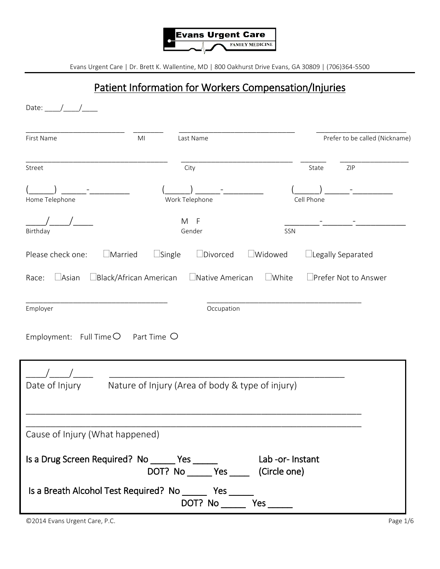

### Patient Information for Workers Compensation/Injuries

| Date: $\frac{1}{\sqrt{2}}$                                                                                 |                               |                                                  |                   |            |                                |
|------------------------------------------------------------------------------------------------------------|-------------------------------|--------------------------------------------------|-------------------|------------|--------------------------------|
| First Name                                                                                                 | M <sub>l</sub>                | Last Name                                        |                   |            | Prefer to be called (Nickname) |
| Street                                                                                                     |                               | City                                             |                   | State      | ZIP                            |
| Home Telephone                                                                                             |                               | Work Telephone                                   |                   | Cell Phone |                                |
| Birthday                                                                                                   |                               | M F<br>Gender                                    | SSN               |            |                                |
| $\Box$ Married<br>Please check one:                                                                        | $\Box$ Single                 | $\square$ Divorced                               | $\square$ Widowed |            | $\Box$ Legally Separated       |
| $\Box$ Asian<br>Race:                                                                                      | $\Box$ Black/African American | $\Box$ Native American                           | $\Box$ White      |            | □Prefer Not to Answer          |
| Employer                                                                                                   |                               | Occupation                                       |                   |            |                                |
| Employment: Full Time $\bigcirc$                                                                           | Part Time O                   |                                                  |                   |            |                                |
| Date of Injury                                                                                             |                               | Nature of Injury (Area of body & type of injury) |                   |            |                                |
| Cause of Injury (What happened)                                                                            |                               |                                                  |                   |            |                                |
| Is a Drug Screen Required? No ______ Yes _______ Lab -or- Instant<br>DOT? No ______ Yes _____ (Circle one) |                               |                                                  |                   |            |                                |
| Is a Breath Alcohol Test Required? No ________ Yes ______                                                  |                               |                                                  |                   |            |                                |

©2014 Evans Urgent Care, P.C. Page 1/6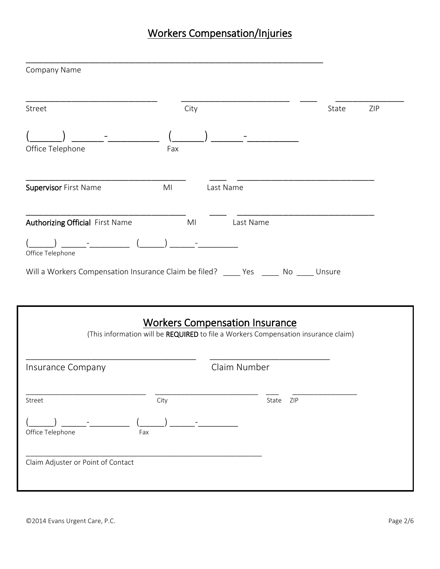# Workers Compensation/Injuries

| Street                                                                                                                                                                     | City           |                                                                                    | ZIP<br>State |
|----------------------------------------------------------------------------------------------------------------------------------------------------------------------------|----------------|------------------------------------------------------------------------------------|--------------|
| Office Telephone                                                                                                                                                           | Fax            |                                                                                    |              |
| Supervisor First Name                                                                                                                                                      | M <sub>l</sub> | Last Name                                                                          |              |
| Authorizing Official First Name                                                                                                                                            | MI             | Last Name                                                                          |              |
| $\frac{1}{\sqrt{2}}\int_{0}^{\sqrt{2}}\left(\frac{1}{\sqrt{2}}\right)^{2}e^{-\frac{1}{2}(\sqrt{2}-\frac{1}{2})}e^{-\frac{1}{2}(\sqrt{2}-\frac{1}{2})}$<br>Office Telephone |                |                                                                                    |              |
| Will a Workers Compensation Insurance Claim be filed? _____ Yes _____ No _____ Unsure                                                                                      |                |                                                                                    |              |
|                                                                                                                                                                            |                | <b>Workers Compensation Insurance</b>                                              |              |
|                                                                                                                                                                            |                | (This information will be REQUIRED to file a Workers Compensation insurance claim) |              |
|                                                                                                                                                                            |                | Claim Number                                                                       |              |
|                                                                                                                                                                            | City           | State<br>ZIP                                                                       |              |
| Insurance Company<br>Street<br>Office Telephone<br>Fax                                                                                                                     |                |                                                                                    |              |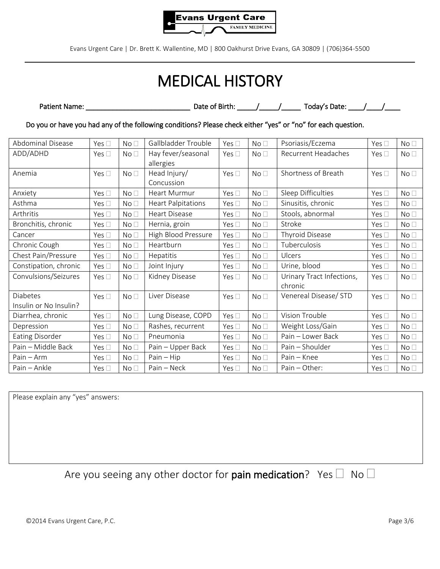

# MEDICAL HISTORY

| <b>Patient Name:</b> | Date of Birth: . | Todav's Date: . |  |
|----------------------|------------------|-----------------|--|
|                      |                  |                 |  |

Do you or have you had any of the following conditions? Please check either "yes" or "no" for each question.

| Abdominal Disease      | Yes $\square$ | No <sub>1</sub> | Gallbladder Trouble       | Yes $\square$ | No <sub>1</sub> | Psoriasis/Eczema          | Yes $\square$ | No <sub>1</sub> |
|------------------------|---------------|-----------------|---------------------------|---------------|-----------------|---------------------------|---------------|-----------------|
| ADD/ADHD               | Yes $\square$ | No <sub>1</sub> | Hay fever/seasonal        | Yes $\Box$    | No <sub>1</sub> | Recurrent Headaches       | Yes $\square$ | No <sub>1</sub> |
|                        |               |                 | allergies                 |               |                 |                           |               |                 |
| Anemia                 | Yes $\square$ | No <sub>1</sub> | Head Injury/              | Yes $\Box$    | No <sub>1</sub> | Shortness of Breath       | Yes $\square$ | No <sub>1</sub> |
|                        |               |                 | Concussion                |               |                 |                           |               |                 |
| Anxiety                | Yes $\square$ | No <sub>1</sub> | Heart Murmur              | Yes $\square$ | No <sub>1</sub> | Sleep Difficulties        | Yes $\square$ | No <sub>1</sub> |
| Asthma                 | Yes $\square$ | No <sub>1</sub> | <b>Heart Palpitations</b> | Yes $\square$ | No <sub>1</sub> | Sinusitis, chronic        | Yes $\square$ | No <sub>1</sub> |
| Arthritis              | Yes $\Box$    | No <sub>1</sub> | <b>Heart Disease</b>      | Yes $\square$ | No <sub>1</sub> | Stools, abnormal          | Yes $\square$ | No <sub>1</sub> |
| Bronchitis, chronic    | Yes $\square$ | No <sub>1</sub> | Hernia, groin             | Yes $\square$ | No <sub>1</sub> | Stroke                    | Yes $\square$ | No <sub>1</sub> |
| Cancer                 | Yes $\square$ | No <sub>1</sub> | High Blood Pressure       | Yes $\square$ | No <sub>1</sub> | Thyroid Disease           | Yes $\square$ | No <sub>1</sub> |
| Chronic Cough          | Yes $\square$ | No <sub>1</sub> | Heartburn                 | Yes $\Box$    | No <sub>1</sub> | Tuberculosis              | Yes $\square$ | No <sub>1</sub> |
| Chest Pain/Pressure    | Yes $\square$ | No <sub>1</sub> | Hepatitis                 | Yes $\square$ | No <sub>1</sub> | Ulcers                    | Yes $\square$ | No <sub>1</sub> |
| Constipation, chronic  | Yes $\square$ | No <sub>1</sub> | Joint Injury              | Yes $\square$ | No <sub>1</sub> | Urine, blood              | Yes $\square$ | No <sub>1</sub> |
| Convulsions/Seizures   | Yes $\square$ | No <sub>1</sub> | Kidney Disease            | Yes $\Box$    | No <sub>1</sub> | Urinary Tract Infections, | Yes $\square$ | No <sub>1</sub> |
|                        |               |                 |                           |               |                 | chronic                   |               |                 |
| Diabetes               | Yes $\Box$    | No <sub>1</sub> | Liver Disease             | Yes $\Box$    | No <sub>1</sub> | Venereal Disease/ STD     | Yes $\square$ | No <sub>1</sub> |
| Insulin or No Insulin? |               |                 |                           |               |                 |                           |               |                 |
| Diarrhea, chronic      | Yes $\square$ | No <sub>1</sub> | Lung Disease, COPD        | Yes $\square$ | No <sub>1</sub> | Vision Trouble            | Yes $\square$ | No <sub>1</sub> |
| Depression             | Yes $\square$ | No <sub>1</sub> | Rashes, recurrent         | Yes $\square$ | No <sub>1</sub> | Weight Loss/Gain          | Yes $\square$ | No <sub>1</sub> |
| <b>Eating Disorder</b> | Yes $\square$ | No <sub>1</sub> | Pneumonia                 | Yes $\square$ | No <sub>1</sub> | Pain - Lower Back         | Yes $\square$ | No <sub>1</sub> |
| Pain - Middle Back     | Yes $\square$ | No <sub>1</sub> | Pain - Upper Back         | Yes $\square$ | No <sub>1</sub> | Pain - Shoulder           | Yes $\square$ | No <sub>1</sub> |
| Pain - Arm             | Yes $\Box$    | No <sub>1</sub> | $Pain - Hip$              | Yes $\square$ | No <sub>1</sub> | Pain - Knee               | Yes $\square$ | No <sub>1</sub> |
| Pain - Ankle           | Yes $\square$ | No <sub>1</sub> | Pain - Neck               | Yes $\square$ | No <sub>1</sub> | Pain - Other:             | Yes $\square$ | No <sub>1</sub> |

Please explain any "yes" answers:

Are you seeing any other doctor for pain medication? Yes  $\Box$  No  $\Box$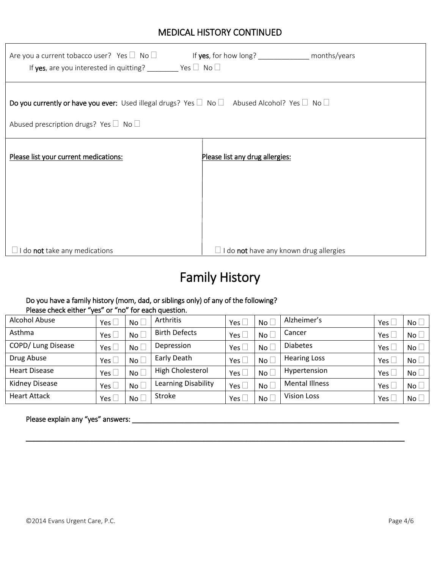#### MEDICAL HISTORY CONTINUED

| Are you a current tobacco user? Yes $\square$ No $\square$<br>If yes, are you interested in quitting? _______ Yes $\Box$ No $\Box$                                  |                                                      |
|---------------------------------------------------------------------------------------------------------------------------------------------------------------------|------------------------------------------------------|
| Do you currently or have you ever: Used illegal drugs? Yes $\Box$ No $\Box$ Abused Alcohol? Yes $\Box$ No $\Box$<br>Abused prescription drugs? Yes $\Box$ No $\Box$ |                                                      |
| Please list your current medications:                                                                                                                               | Please list any drug allergies:                      |
| $\Box$ I do <b>not</b> take any medications                                                                                                                         | $\Box$ I do <b>not</b> have any known drug allergies |

# Family History

#### Do you have a family history (mom, dad, or siblings only) of any of the following? Please check either "yes" or "no" for each question.

| Alcohol Abuse         | Yes $\Box$             | $No+$           | Arthritis            | Yes $\Box$    | $No+$           | Alzheimer's           | Yes [ | No <sub>1</sub> |
|-----------------------|------------------------|-----------------|----------------------|---------------|-----------------|-----------------------|-------|-----------------|
| Asthma                | Yes $\Box$             | No <sub>1</sub> | <b>Birth Defects</b> | Yes $\square$ | No <sub>l</sub> | Cancer                | Yes l | No <sub>1</sub> |
| COPD/ Lung Disease    | Yes $\mathrel{\sqcup}$ | $No+$           | Depression           | Yes $\Box$    | No <sub>l</sub> | <b>Diabetes</b>       | Yes [ | No              |
| Drug Abuse            | Yes $\square$          | No L            | Early Death          | Yes $\Box$    | No              | <b>Hearing Loss</b>   | Yes L | No              |
| <b>Heart Disease</b>  | Yes $\Box$             | No L            | High Cholesterol     | Yes $\square$ | No <sub>1</sub> | Hypertension          | Yes [ | No <sub>1</sub> |
| <b>Kidney Disease</b> |                        | No <sub>l</sub> | Learning Disability  | Yes $\Box$    | No <sub>l</sub> | <b>Mental Illness</b> | Yes [ | No <sub>1</sub> |
| <b>Heart Attack</b>   | Yes $\Box$             | $No+$           | Stroke               | Yes $\Box$    | No <sub>l</sub> | <b>Vision Loss</b>    | Yes l | No <sub>1</sub> |

\_\_\_\_\_\_\_\_\_\_\_\_\_\_\_\_\_\_\_\_\_\_\_\_\_\_\_\_\_\_\_\_\_\_\_\_\_\_\_\_\_\_\_\_\_\_\_\_\_\_\_\_\_\_\_\_\_\_\_\_\_\_\_\_\_\_\_\_\_\_\_\_\_\_\_\_\_\_\_\_\_\_\_\_\_\_\_\_\_\_\_\_\_\_\_\_\_\_

#### Please explain any "yes" answers: \_\_\_\_\_\_\_\_\_\_\_\_\_\_\_\_\_\_\_\_\_\_\_\_\_\_\_\_\_\_\_\_\_\_\_\_\_\_\_\_\_\_\_\_\_\_\_\_\_\_\_\_\_\_\_\_\_\_\_\_\_\_\_\_\_\_\_\_\_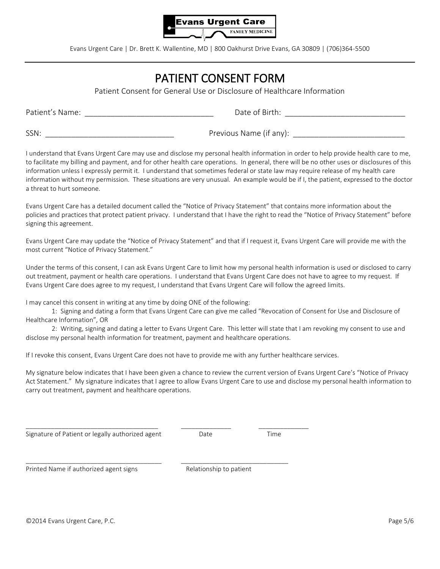

## PATIENT CONSENT FORM

Patient Consent for General Use or Disclosure of Healthcare Information

Patient's Name: \_\_\_\_\_\_\_\_\_\_\_\_\_\_\_\_\_\_\_\_\_\_\_\_\_\_\_\_\_\_ Date of Birth: \_\_\_\_\_\_\_\_\_\_\_\_\_\_\_\_\_\_\_\_\_\_\_\_\_\_\_\_

SSN: \_\_\_\_\_\_\_\_\_\_\_\_\_\_\_\_\_\_\_\_\_\_\_\_\_\_\_\_\_\_ Previous Name (if any): \_\_\_\_\_\_\_\_\_\_\_\_\_\_\_\_\_\_\_\_\_\_\_\_\_\_

I understand that Evans Urgent Care may use and disclose my personal health information in order to help provide health care to me, to facilitate my billing and payment, and for other health care operations. In general, there will be no other uses or disclosures of this information unless I expressly permit it. I understand that sometimes federal or state law may require release of my health care information without my permission. These situations are very unusual. An example would be if I, the patient, expressed to the doctor a threat to hurt someone.

Evans Urgent Care has a detailed document called the "Notice of Privacy Statement" that contains more information about the policies and practices that protect patient privacy. I understand that I have the right to read the "Notice of Privacy Statement" before signing this agreement.

Evans Urgent Care may update the "Notice of Privacy Statement" and that if I request it, Evans Urgent Care will provide me with the most current "Notice of Privacy Statement."

Under the terms of this consent, I can ask Evans Urgent Care to limit how my personal health information is used or disclosed to carry out treatment, payment or health care operations. I understand that Evans Urgent Care does not have to agree to my request. If Evans Urgent Care does agree to my request, I understand that Evans Urgent Care will follow the agreed limits.

I may cancel this consent in writing at any time by doing ONE of the following:

1: Signing and dating a form that Evans Urgent Care can give me called "Revocation of Consent for Use and Disclosure of Healthcare Information", OR

2: Writing, signing and dating a letter to Evans Urgent Care. This letter will state that I am revoking my consent to use and disclose my personal health information for treatment, payment and healthcare operations.

If I revoke this consent, Evans Urgent Care does not have to provide me with any further healthcare services.

\_\_\_\_\_\_\_\_\_\_\_\_\_\_\_\_\_\_\_\_\_\_\_\_\_\_\_\_\_\_\_\_\_\_\_\_\_ \_\_\_\_\_\_\_\_\_\_\_\_\_\_ \_\_\_\_\_\_\_\_\_\_\_\_\_\_

\_\_\_\_\_\_\_\_\_\_\_\_\_\_\_\_\_\_\_\_\_\_\_\_\_\_\_\_\_\_\_\_\_\_\_\_\_\_ \_\_\_\_\_\_\_\_\_\_\_\_\_\_\_\_\_\_\_\_\_\_\_\_\_\_\_\_\_\_

My signature below indicates that I have been given a chance to review the current version of Evans Urgent Care's "Notice of Privacy Act Statement." My signature indicates that I agree to allow Evans Urgent Care to use and disclose my personal health information to carry out treatment, payment and healthcare operations.

Signature of Patient or legally authorized agent Date Date Date Time

Printed Name if authorized agent signs The Relationship to patient